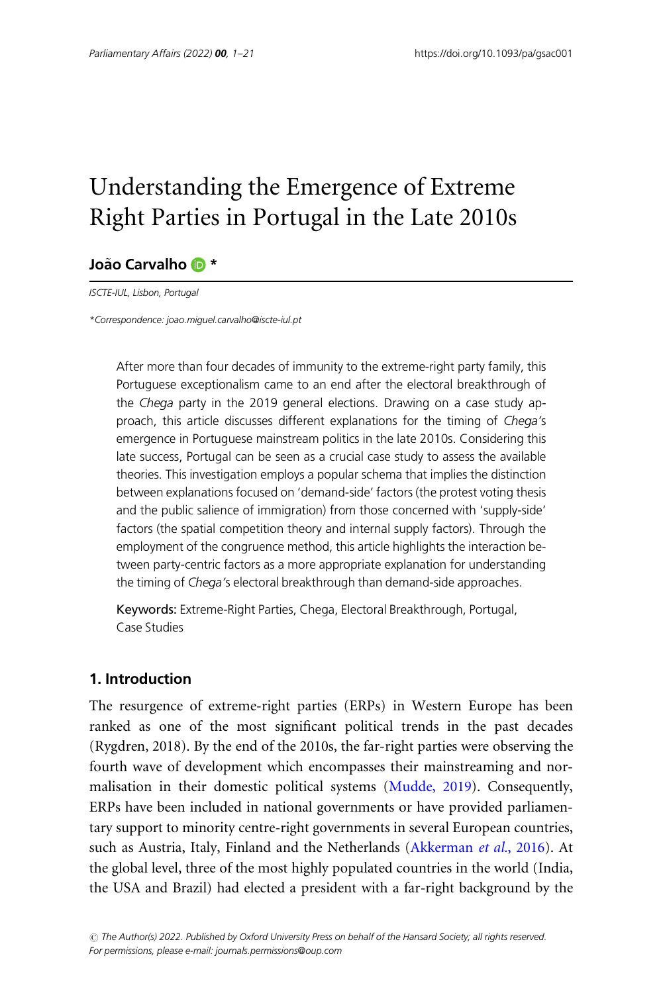# Understanding the Emergence of Extreme Right Parties in Portugal in the Late 2010s

# João Carvalho **D** \*

ISCTE-IUL, Lisbon, Portugal

\*Correspondence: joao.miguel.carvalho@iscte-iul.pt

After more than four decades of immunity to the extreme-right party family, this Portuguese exceptionalism came to an end after the electoral breakthrough of the Chega party in the 2019 general elections. Drawing on a case study approach, this article discusses different explanations for the timing of Chega's emergence in Portuguese mainstream politics in the late 2010s. Considering this late success, Portugal can be seen as a crucial case study to assess the available theories. This investigation employs a popular schema that implies the distinction between explanations focused on 'demand-side' factors (the protest voting thesis and the public salience of immigration) from those concerned with 'supply-side' factors (the spatial competition theory and internal supply factors). Through the employment of the congruence method, this article highlights the interaction between party-centric factors as a more appropriate explanation for understanding the timing of Chega's electoral breakthrough than demand-side approaches.

Keywords: Extreme-Right Parties, Chega, Electoral Breakthrough, Portugal, Case Studies

## 1. Introduction

The resurgence of extreme-right parties (ERPs) in Western Europe has been ranked as one of the most significant political trends in the past decades (Rygdren, 2018). By the end of the 2010s, the far-right parties were observing the fourth wave of development which encompasses their mainstreaming and normalisation in their domestic political systems ([Mudde, 2019\)](#page-19-0). Consequently, ERPs have been included in national governments or have provided parliamentary support to minority centre-right governments in several European countries, such as Austria, Italy, Finland and the Netherlands [\(Akkerman](#page-17-0) et al., 2016). At the global level, three of the most highly populated countries in the world (India, the USA and Brazil) had elected a president with a far-right background by the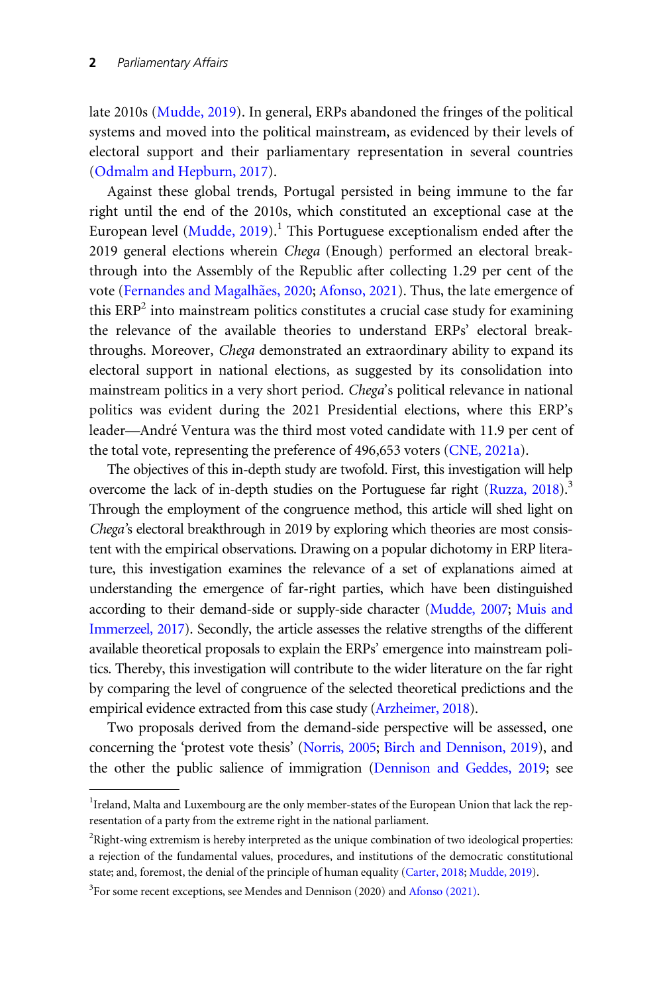late 2010s ([Mudde, 2019\)](#page-19-0). In general, ERPs abandoned the fringes of the political systems and moved into the political mainstream, as evidenced by their levels of electoral support and their parliamentary representation in several countries [\(Odmalm and Hepburn, 2017\)](#page-20-0).

Against these global trends, Portugal persisted in being immune to the far right until the end of the 2010s, which constituted an exceptional case at the European level  $(Mudde, 2019)$  $(Mudde, 2019)$ .<sup>1</sup> This Portuguese exceptionalism ended after the 2019 general elections wherein Chega (Enough) performed an electoral breakthrough into the Assembly of the Republic after collecting 1.29 per cent of the vote ([Fernandes and Magalh](#page-18-0)ães, 2020; [Afonso, 2021](#page-16-0)). Thus, the late emergence of this  $ERP<sup>2</sup>$  into mainstream politics constitutes a crucial case study for examining the relevance of the available theories to understand ERPs' electoral breakthroughs. Moreover, Chega demonstrated an extraordinary ability to expand its electoral support in national elections, as suggested by its consolidation into mainstream politics in a very short period. Chega's political relevance in national politics was evident during the 2021 Presidential elections, where this ERP's leader—André Ventura was the third most voted candidate with 11.9 per cent of the total vote, representing the preference of 496,653 voters ([CNE, 2021a](#page-18-0)).

The objectives of this in-depth study are twofold. First, this investigation will help overcome the lack of in-depth studies on the Portuguese far right [\(Ruzza, 2018](#page-20-0)).<sup>3</sup> Through the employment of the congruence method, this article will shed light on Chega's electoral breakthrough in 2019 by exploring which theories are most consistent with the empirical observations. Drawing on a popular dichotomy in ERP literature, this investigation examines the relevance of a set of explanations aimed at understanding the emergence of far-right parties, which have been distinguished according to their demand-side or supply-side character [\(Mudde, 2007;](#page-19-0) [Muis and](#page-19-0) [Immerzeel, 2017](#page-19-0)). Secondly, the article assesses the relative strengths of the different available theoretical proposals to explain the ERPs' emergence into mainstream politics. Thereby, this investigation will contribute to the wider literature on the far right by comparing the level of congruence of the selected theoretical predictions and the empirical evidence extracted from this case study ([Arzheimer, 2018\)](#page-17-0).

Two proposals derived from the demand-side perspective will be assessed, one concerning the 'protest vote thesis' [\(Norris, 2005](#page-19-0); [Birch and Dennison, 2019](#page-17-0)), and the other the public salience of immigration ([Dennison and Geddes, 2019](#page-18-0); see

<sup>&</sup>lt;sup>1</sup> Ireland, Malta and Luxembourg are the only member-states of the European Union that lack the representation of a party from the extreme right in the national parliament.

 $2$ Right-wing extremism is hereby interpreted as the unique combination of two ideological properties: a rejection of the fundamental values, procedures, and institutions of the democratic constitutional state; and, foremost, the denial of the principle of human equality ([Carter, 2018;](#page-17-0) [Mudde, 2019](#page-19-0)).

<sup>&</sup>lt;sup>3</sup>For some recent exceptions, see Mendes and Dennison (2020) and [Afonso \(2021\)](#page-16-0).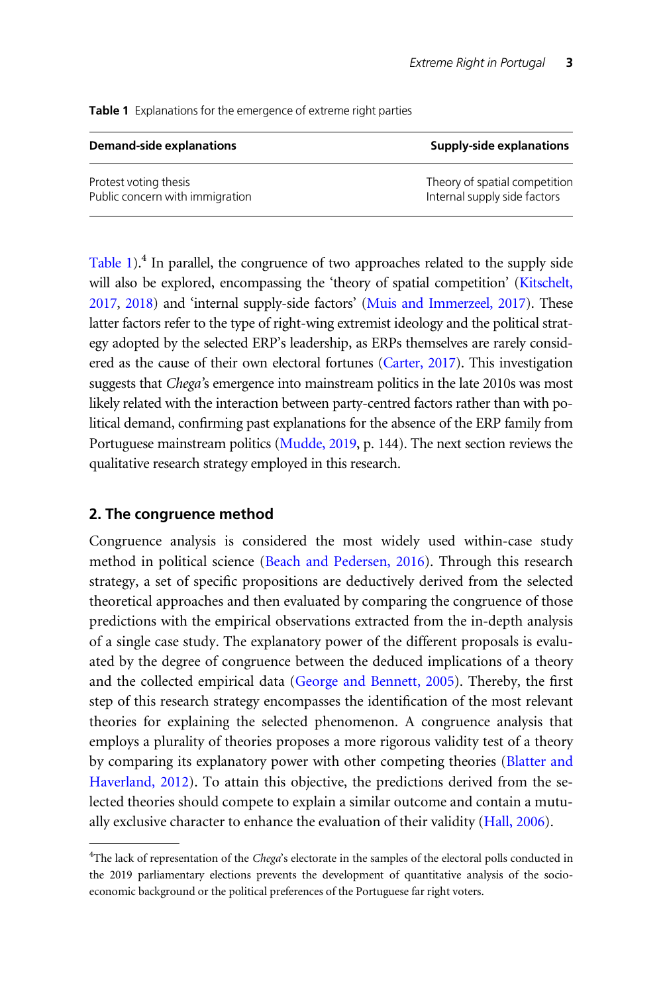|  | <b>Table 1</b> Explanations for the emergence of extreme right parties |  |
|--|------------------------------------------------------------------------|--|
|  |                                                                        |  |

| <b>Demand-side explanations</b> | Supply-side explanations      |  |
|---------------------------------|-------------------------------|--|
| Protest voting thesis           | Theory of spatial competition |  |
| Public concern with immigration | Internal supply side factors  |  |

Table 1).<sup>4</sup> In parallel, the congruence of two approaches related to the supply side will also be explored, encompassing the 'theory of spatial competition' ([Kitschelt,](#page-19-0) [2017](#page-19-0), [2018](#page-19-0)) and 'internal supply-side factors' ([Muis and Immerzeel, 2017\)](#page-19-0). These latter factors refer to the type of right-wing extremist ideology and the political strategy adopted by the selected ERP's leadership, as ERPs themselves are rarely considered as the cause of their own electoral fortunes [\(Carter, 2017](#page-17-0)). This investigation suggests that Chega's emergence into mainstream politics in the late 2010s was most likely related with the interaction between party-centred factors rather than with political demand, confirming past explanations for the absence of the ERP family from Portuguese mainstream politics ([Mudde, 2019,](#page-19-0) p. 144). The next section reviews the qualitative research strategy employed in this research.

# 2. The congruence method

Congruence analysis is considered the most widely used within-case study method in political science [\(Beach and Pedersen, 2016](#page-17-0)). Through this research strategy, a set of specific propositions are deductively derived from the selected theoretical approaches and then evaluated by comparing the congruence of those predictions with the empirical observations extracted from the in-depth analysis of a single case study. The explanatory power of the different proposals is evaluated by the degree of congruence between the deduced implications of a theory and the collected empirical data [\(George and Bennett, 2005](#page-18-0)). Thereby, the first step of this research strategy encompasses the identification of the most relevant theories for explaining the selected phenomenon. A congruence analysis that employs a plurality of theories proposes a more rigorous validity test of a theory by comparing its explanatory power with other competing theories [\(Blatter and](#page-17-0) [Haverland, 2012](#page-17-0)). To attain this objective, the predictions derived from the selected theories should compete to explain a similar outcome and contain a mutu-ally exclusive character to enhance the evaluation of their validity [\(Hall, 2006\)](#page-18-0).

<sup>&</sup>lt;sup>4</sup>The lack of representation of the Chega's electorate in the samples of the electoral polls conducted in the 2019 parliamentary elections prevents the development of quantitative analysis of the socioeconomic background or the political preferences of the Portuguese far right voters.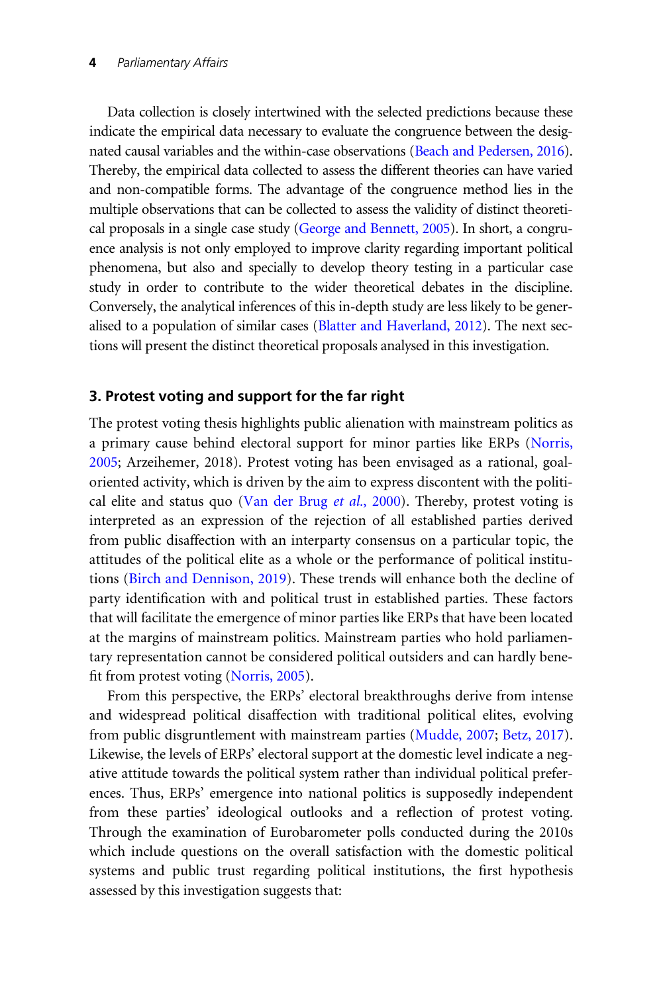Data collection is closely intertwined with the selected predictions because these indicate the empirical data necessary to evaluate the congruence between the designated causal variables and the within-case observations [\(Beach and Pedersen, 2016\)](#page-17-0). Thereby, the empirical data collected to assess the different theories can have varied and non-compatible forms. The advantage of the congruence method lies in the multiple observations that can be collected to assess the validity of distinct theoretical proposals in a single case study ([George and Bennett, 2005](#page-18-0)). In short, a congruence analysis is not only employed to improve clarity regarding important political phenomena, but also and specially to develop theory testing in a particular case study in order to contribute to the wider theoretical debates in the discipline. Conversely, the analytical inferences of this in-depth study are less likely to be generalised to a population of similar cases [\(Blatter and Haverland, 2012\)](#page-17-0). The next sections will present the distinct theoretical proposals analysed in this investigation.

## 3. Protest voting and support for the far right

The protest voting thesis highlights public alienation with mainstream politics as a primary cause behind electoral support for minor parties like ERPs [\(Norris,](#page-19-0) [2005;](#page-19-0) Arzeihemer, 2018). Protest voting has been envisaged as a rational, goaloriented activity, which is driven by the aim to express discontent with the politi-cal elite and status quo ([Van der Brug](#page-20-0) *et al.*, 2000). Thereby, protest voting is interpreted as an expression of the rejection of all established parties derived from public disaffection with an interparty consensus on a particular topic, the attitudes of the political elite as a whole or the performance of political institutions [\(Birch and Dennison, 2019](#page-17-0)). These trends will enhance both the decline of party identification with and political trust in established parties. These factors that will facilitate the emergence of minor parties like ERPs that have been located at the margins of mainstream politics. Mainstream parties who hold parliamentary representation cannot be considered political outsiders and can hardly benefit from protest voting [\(Norris, 2005\)](#page-19-0).

From this perspective, the ERPs' electoral breakthroughs derive from intense and widespread political disaffection with traditional political elites, evolving from public disgruntlement with mainstream parties [\(Mudde, 2007](#page-19-0); [Betz, 2017](#page-17-0)). Likewise, the levels of ERPs' electoral support at the domestic level indicate a negative attitude towards the political system rather than individual political preferences. Thus, ERPs' emergence into national politics is supposedly independent from these parties' ideological outlooks and a reflection of protest voting. Through the examination of Eurobarometer polls conducted during the 2010s which include questions on the overall satisfaction with the domestic political systems and public trust regarding political institutions, the first hypothesis assessed by this investigation suggests that: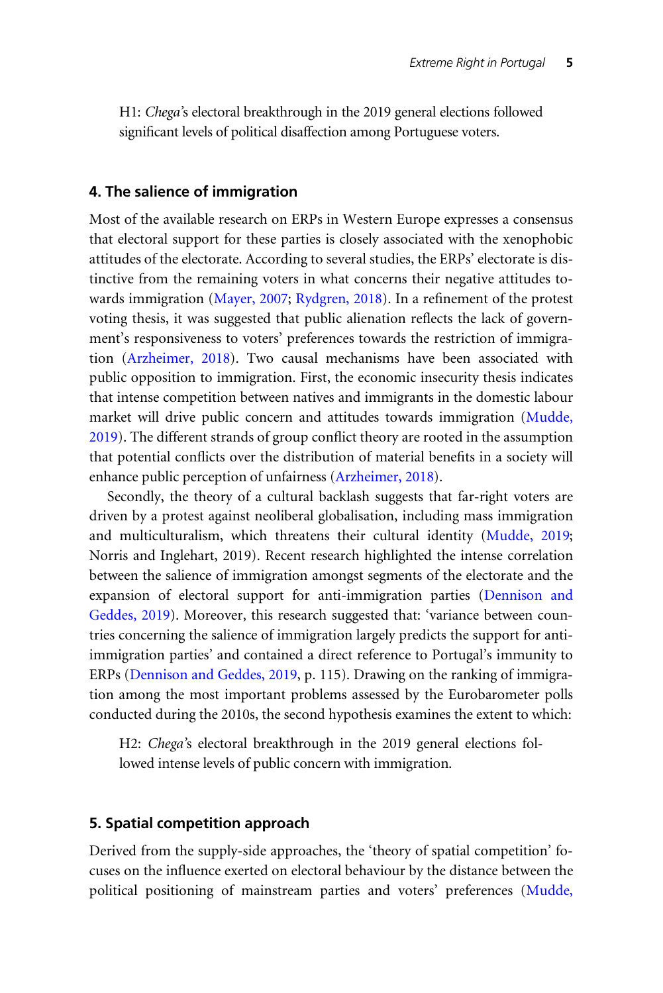H1: Chega's electoral breakthrough in the 2019 general elections followed significant levels of political disaffection among Portuguese voters.

## 4. The salience of immigration

Most of the available research on ERPs in Western Europe expresses a consensus that electoral support for these parties is closely associated with the xenophobic attitudes of the electorate. According to several studies, the ERPs' electorate is distinctive from the remaining voters in what concerns their negative attitudes towards immigration ([Mayer, 2007](#page-19-0); [Rydgren, 2018](#page-20-0)). In a refinement of the protest voting thesis, it was suggested that public alienation reflects the lack of government's responsiveness to voters' preferences towards the restriction of immigration ([Arzheimer, 2018](#page-17-0)). Two causal mechanisms have been associated with public opposition to immigration. First, the economic insecurity thesis indicates that intense competition between natives and immigrants in the domestic labour market will drive public concern and attitudes towards immigration [\(Mudde,](#page-19-0) [2019\)](#page-19-0). The different strands of group conflict theory are rooted in the assumption that potential conflicts over the distribution of material benefits in a society will enhance public perception of unfairness [\(Arzheimer, 2018\)](#page-17-0).

Secondly, the theory of a cultural backlash suggests that far-right voters are driven by a protest against neoliberal globalisation, including mass immigration and multiculturalism, which threatens their cultural identity ([Mudde, 2019](#page-19-0); Norris and Inglehart, 2019). Recent research highlighted the intense correlation between the salience of immigration amongst segments of the electorate and the expansion of electoral support for anti-immigration parties [\(Dennison and](#page-18-0) [Geddes, 2019](#page-18-0)). Moreover, this research suggested that: 'variance between countries concerning the salience of immigration largely predicts the support for antiimmigration parties' and contained a direct reference to Portugal's immunity to ERPs ([Dennison and Geddes, 2019](#page-18-0), p. 115). Drawing on the ranking of immigration among the most important problems assessed by the Eurobarometer polls conducted during the 2010s, the second hypothesis examines the extent to which:

H2: Chega's electoral breakthrough in the 2019 general elections followed intense levels of public concern with immigration.

#### 5. Spatial competition approach

Derived from the supply-side approaches, the 'theory of spatial competition' focuses on the influence exerted on electoral behaviour by the distance between the political positioning of mainstream parties and voters' preferences [\(Mudde,](#page-19-0)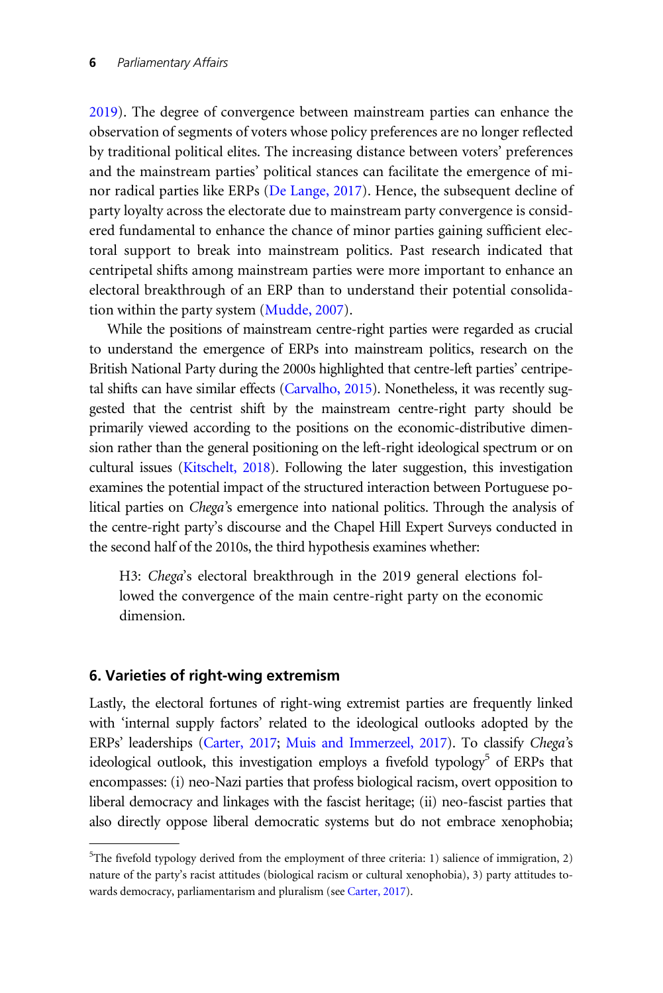[2019\)](#page-19-0). The degree of convergence between mainstream parties can enhance the observation of segments of voters whose policy preferences are no longer reflected by traditional political elites. The increasing distance between voters' preferences and the mainstream parties' political stances can facilitate the emergence of minor radical parties like ERPs ([De Lange, 2017\)](#page-18-0). Hence, the subsequent decline of party loyalty across the electorate due to mainstream party convergence is considered fundamental to enhance the chance of minor parties gaining sufficient electoral support to break into mainstream politics. Past research indicated that centripetal shifts among mainstream parties were more important to enhance an electoral breakthrough of an ERP than to understand their potential consolidation within the party system ([Mudde, 2007](#page-19-0)).

While the positions of mainstream centre-right parties were regarded as crucial to understand the emergence of ERPs into mainstream politics, research on the British National Party during the 2000s highlighted that centre-left parties' centripetal shifts can have similar effects (Carvalho, 2015). Nonetheless, it was recently suggested that the centrist shift by the mainstream centre-right party should be primarily viewed according to the positions on the economic-distributive dimension rather than the general positioning on the left-right ideological spectrum or on cultural issues [\(Kitschelt, 2018](#page-19-0)). Following the later suggestion, this investigation examines the potential impact of the structured interaction between Portuguese political parties on Chega's emergence into national politics. Through the analysis of the centre-right party's discourse and the Chapel Hill Expert Surveys conducted in the second half of the 2010s, the third hypothesis examines whether:

H3: Chega's electoral breakthrough in the 2019 general elections followed the convergence of the main centre-right party on the economic dimension.

## 6. Varieties of right-wing extremism

Lastly, the electoral fortunes of right-wing extremist parties are frequently linked with 'internal supply factors' related to the ideological outlooks adopted by the ERPs' leaderships [\(Carter, 2017;](#page-17-0) [Muis and Immerzeel, 2017](#page-19-0)). To classify Chega's ideological outlook, this investigation employs a fivefold typology<sup>5</sup> of ERPs that encompasses: (i) neo-Nazi parties that profess biological racism, overt opposition to liberal democracy and linkages with the fascist heritage; (ii) neo-fascist parties that also directly oppose liberal democratic systems but do not embrace xenophobia;

<sup>&</sup>lt;sup>5</sup>The fivefold typology derived from the employment of three criteria: 1) salience of immigration, 2) nature of the party's racist attitudes (biological racism or cultural xenophobia), 3) party attitudes towards democracy, parliamentarism and pluralism (see [Carter, 2017\)](#page-17-0).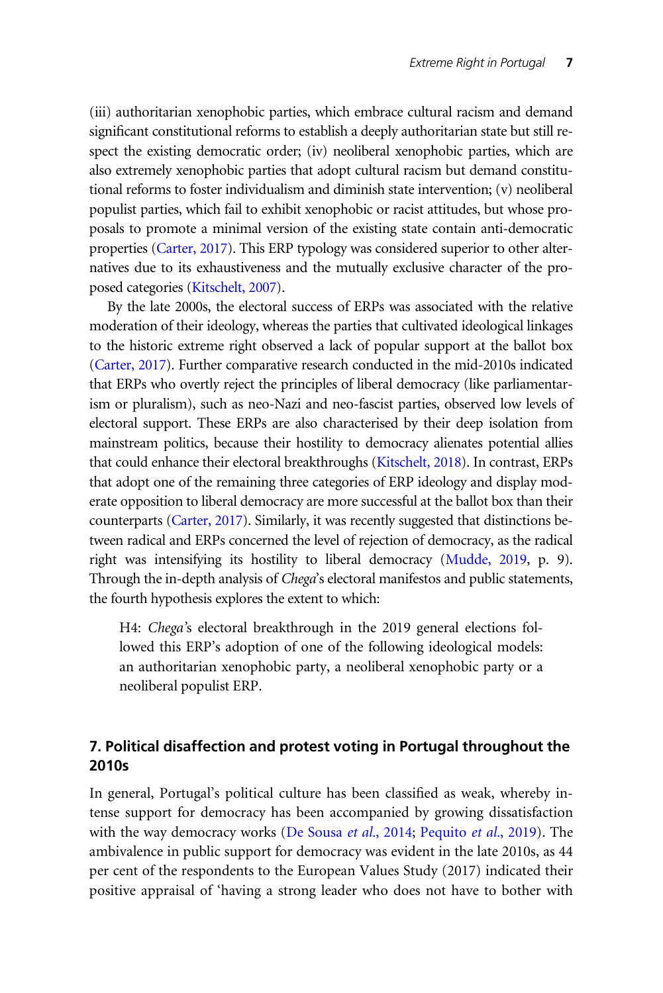(iii) authoritarian xenophobic parties, which embrace cultural racism and demand significant constitutional reforms to establish a deeply authoritarian state but still respect the existing democratic order; (iv) neoliberal xenophobic parties, which are also extremely xenophobic parties that adopt cultural racism but demand constitutional reforms to foster individualism and diminish state intervention; (v) neoliberal populist parties, which fail to exhibit xenophobic or racist attitudes, but whose proposals to promote a minimal version of the existing state contain anti-democratic properties [\(Carter, 2017\)](#page-17-0). This ERP typology was considered superior to other alternatives due to its exhaustiveness and the mutually exclusive character of the proposed categories [\(Kitschelt, 2007](#page-18-0)).

By the late 2000s, the electoral success of ERPs was associated with the relative moderation of their ideology, whereas the parties that cultivated ideological linkages to the historic extreme right observed a lack of popular support at the ballot box [\(Carter, 2017\)](#page-17-0). Further comparative research conducted in the mid-2010s indicated that ERPs who overtly reject the principles of liberal democracy (like parliamentarism or pluralism), such as neo-Nazi and neo-fascist parties, observed low levels of electoral support. These ERPs are also characterised by their deep isolation from mainstream politics, because their hostility to democracy alienates potential allies that could enhance their electoral breakthroughs [\(Kitschelt, 2018\)](#page-19-0). In contrast, ERPs that adopt one of the remaining three categories of ERP ideology and display moderate opposition to liberal democracy are more successful at the ballot box than their counterparts [\(Carter, 2017\)](#page-17-0). Similarly, it was recently suggested that distinctions between radical and ERPs concerned the level of rejection of democracy, as the radical right was intensifying its hostility to liberal democracy [\(Mudde, 2019,](#page-19-0) p. 9). Through the in-depth analysis of Chega's electoral manifestos and public statements, the fourth hypothesis explores the extent to which:

H4: Chega's electoral breakthrough in the 2019 general elections followed this ERP's adoption of one of the following ideological models: an authoritarian xenophobic party, a neoliberal xenophobic party or a neoliberal populist ERP.

# 7. Political disaffection and protest voting in Portugal throughout the 2010s

In general, Portugal's political culture has been classified as weak, whereby intense support for democracy has been accompanied by growing dissatisfaction with the way democracy works [\(De Sousa](#page-18-0) *et al.*, 2014; [Pequito](#page-19-0) *et al.*, 2019). The ambivalence in public support for democracy was evident in the late 2010s, as 44 per cent of the respondents to the European Values Study (2017) indicated their positive appraisal of 'having a strong leader who does not have to bother with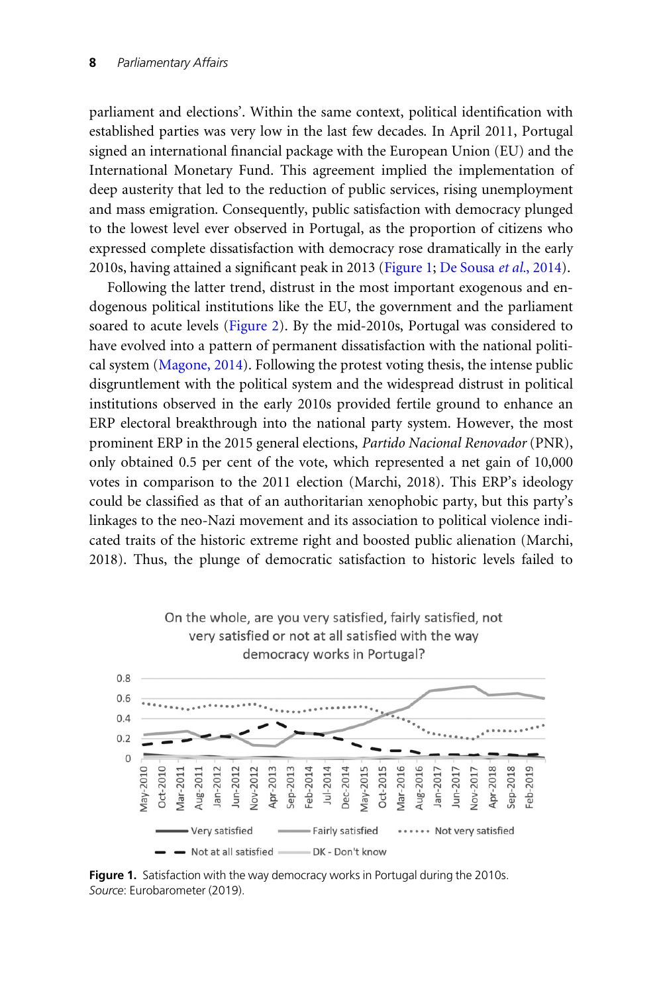<span id="page-7-0"></span>parliament and elections'. Within the same context, political identification with established parties was very low in the last few decades. In April 2011, Portugal signed an international financial package with the European Union (EU) and the International Monetary Fund. This agreement implied the implementation of deep austerity that led to the reduction of public services, rising unemployment and mass emigration. Consequently, public satisfaction with democracy plunged to the lowest level ever observed in Portugal, as the proportion of citizens who expressed complete dissatisfaction with democracy rose dramatically in the early 2010s, having attained a significant peak in 2013 (Figure 1; [De Sousa](#page-18-0) et al., 2014).

Following the latter trend, distrust in the most important exogenous and endogenous political institutions like the EU, the government and the parliament soared to acute levels ([Figure 2](#page-8-0)). By the mid-2010s, Portugal was considered to have evolved into a pattern of permanent dissatisfaction with the national political system ([Magone, 2014\)](#page-19-0). Following the protest voting thesis, the intense public disgruntlement with the political system and the widespread distrust in political institutions observed in the early 2010s provided fertile ground to enhance an ERP electoral breakthrough into the national party system. However, the most prominent ERP in the 2015 general elections, Partido Nacional Renovador (PNR), only obtained 0.5 per cent of the vote, which represented a net gain of 10,000 votes in comparison to the 2011 election (Marchi, 2018). This ERP's ideology could be classified as that of an authoritarian xenophobic party, but this party's linkages to the neo-Nazi movement and its association to political violence indicated traits of the historic extreme right and boosted public alienation (Marchi, 2018). Thus, the plunge of democratic satisfaction to historic levels failed to



Figure 1. Satisfaction with the way democracy works in Portugal during the 2010s. Source: Eurobarometer (2019).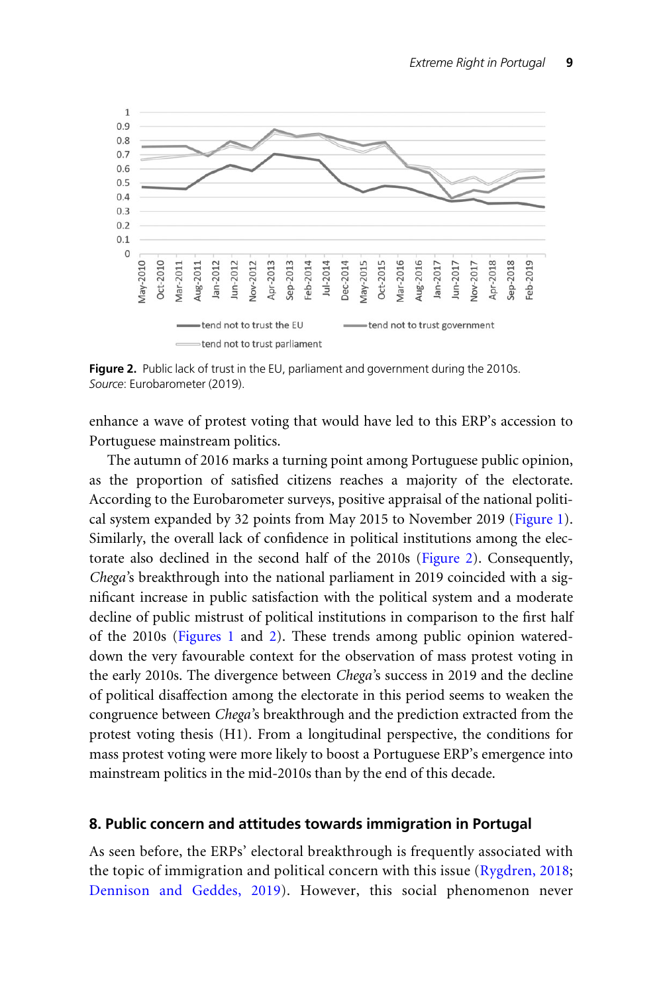<span id="page-8-0"></span>

Figure 2. Public lack of trust in the EU, parliament and government during the 2010s. Source: Eurobarometer (2019).

enhance a wave of protest voting that would have led to this ERP's accession to Portuguese mainstream politics.

The autumn of 2016 marks a turning point among Portuguese public opinion, as the proportion of satisfied citizens reaches a majority of the electorate. According to the Eurobarometer surveys, positive appraisal of the national political system expanded by 32 points from May 2015 to November 2019 ([Figure 1](#page-7-0)). Similarly, the overall lack of confidence in political institutions among the electorate also declined in the second half of the 2010s (Figure 2). Consequently, Chega's breakthrough into the national parliament in 2019 coincided with a significant increase in public satisfaction with the political system and a moderate decline of public mistrust of political institutions in comparison to the first half of the 2010s ([Figures 1](#page-7-0) and 2). These trends among public opinion watereddown the very favourable context for the observation of mass protest voting in the early 2010s. The divergence between Chega's success in 2019 and the decline of political disaffection among the electorate in this period seems to weaken the congruence between Chega's breakthrough and the prediction extracted from the protest voting thesis (H1). From a longitudinal perspective, the conditions for mass protest voting were more likely to boost a Portuguese ERP's emergence into mainstream politics in the mid-2010s than by the end of this decade.

#### 8. Public concern and attitudes towards immigration in Portugal

As seen before, the ERPs' electoral breakthrough is frequently associated with the topic of immigration and political concern with this issue [\(Rygdren, 2018](#page-18-0); [Dennison and Geddes, 2019\)](#page-18-0). However, this social phenomenon never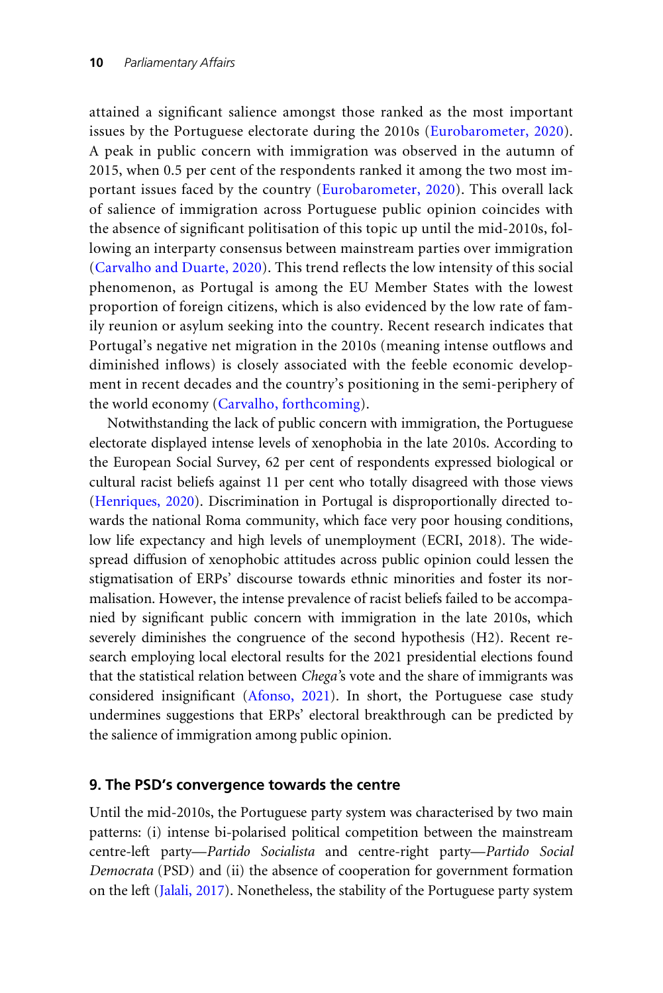attained a significant salience amongst those ranked as the most important issues by the Portuguese electorate during the 2010s [\(Eurobarometer, 2020](#page-18-0)). A peak in public concern with immigration was observed in the autumn of 2015, when 0.5 per cent of the respondents ranked it among the two most important issues faced by the country ([Eurobarometer, 2020\)](#page-18-0). This overall lack of salience of immigration across Portuguese public opinion coincides with the absence of significant politisation of this topic up until the mid-2010s, following an interparty consensus between mainstream parties over immigration (Carvalho and Duarte, 2020). This trend reflects the low intensity of this social phenomenon, as Portugal is among the EU Member States with the lowest proportion of foreign citizens, which is also evidenced by the low rate of family reunion or asylum seeking into the country. Recent research indicates that Portugal's negative net migration in the 2010s (meaning intense outflows and diminished inflows) is closely associated with the feeble economic development in recent decades and the country's positioning in the semi-periphery of the world economy ([Carvalho, forthcoming](#page-17-0)).

Notwithstanding the lack of public concern with immigration, the Portuguese electorate displayed intense levels of xenophobia in the late 2010s. According to the European Social Survey, 62 per cent of respondents expressed biological or cultural racist beliefs against 11 per cent who totally disagreed with those views [\(Henriques, 2020\)](#page-18-0). Discrimination in Portugal is disproportionally directed towards the national Roma community, which face very poor housing conditions, low life expectancy and high levels of unemployment (ECRI, 2018). The widespread diffusion of xenophobic attitudes across public opinion could lessen the stigmatisation of ERPs' discourse towards ethnic minorities and foster its normalisation. However, the intense prevalence of racist beliefs failed to be accompanied by significant public concern with immigration in the late 2010s, which severely diminishes the congruence of the second hypothesis (H2). Recent research employing local electoral results for the 2021 presidential elections found that the statistical relation between Chega's vote and the share of immigrants was considered insignificant ([Afonso, 2021](#page-16-0)). In short, the Portuguese case study undermines suggestions that ERPs' electoral breakthrough can be predicted by the salience of immigration among public opinion.

## 9. The PSD's convergence towards the centre

Until the mid-2010s, the Portuguese party system was characterised by two main patterns: (i) intense bi-polarised political competition between the mainstream centre-left party—Partido Socialista and centre-right party—Partido Social Democrata (PSD) and (ii) the absence of cooperation for government formation on the left [\(Jalali, 2017\)](#page-18-0). Nonetheless, the stability of the Portuguese party system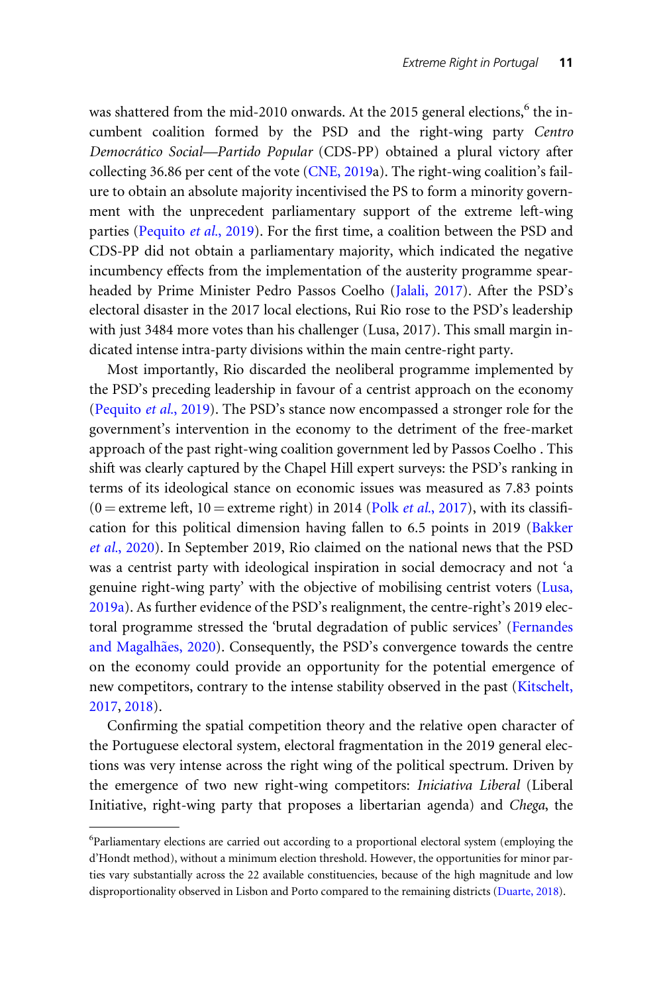was shattered from the mid-2010 onwards. At the 2015 general elections,<sup>6</sup> the incumbent coalition formed by the PSD and the right-wing party Centro Democra´tico Social—Partido Popular (CDS-PP) obtained a plural victory after collecting 36.86 per cent of the vote ([CNE, 2019a](#page-17-0)). The right-wing coalition's failure to obtain an absolute majority incentivised the PS to form a minority government with the unprecedent parliamentary support of the extreme left-wing parties ([Pequito](#page-19-0) et al., 2019). For the first time, a coalition between the PSD and CDS-PP did not obtain a parliamentary majority, which indicated the negative incumbency effects from the implementation of the austerity programme spearheaded by Prime Minister Pedro Passos Coelho [\(Jalali, 2017\)](#page-18-0). After the PSD's electoral disaster in the 2017 local elections, Rui Rio rose to the PSD's leadership with just 3484 more votes than his challenger (Lusa, 2017). This small margin indicated intense intra-party divisions within the main centre-right party.

Most importantly, Rio discarded the neoliberal programme implemented by the PSD's preceding leadership in favour of a centrist approach on the economy [\(Pequito](#page-19-0) et al., 2019). The PSD's stance now encompassed a stronger role for the government's intervention in the economy to the detriment of the free-market approach of the past right-wing coalition government led by Passos Coelho . This shift was clearly captured by the Chapel Hill expert surveys: the PSD's ranking in terms of its ideological stance on economic issues was measured as 7.83 points  $(0 =$  extreme left,  $10 =$  extreme right) in 2014 (Polk *et al.*[, 2017\)](#page-19-0), with its classification for this political dimension having fallen to 6.5 points in 2019 [\(Bakker](#page-17-0) et al.[, 2020](#page-17-0)). In September 2019, Rio claimed on the national news that the PSD was a centrist party with ideological inspiration in social democracy and not 'a genuine right-wing party' with the objective of mobilising centrist voters ([Lusa,](#page-19-0) [2019a\)](#page-19-0). As further evidence of the PSD's realignment, the centre-right's 2019 electoral programme stressed the 'brutal degradation of public services' ([Fernandes](#page-18-0) [and Magalh](#page-18-0)ã[es, 2020](#page-18-0)). Consequently, the PSD's convergence towards the centre on the economy could provide an opportunity for the potential emergence of new competitors, contrary to the intense stability observed in the past [\(Kitschelt,](#page-19-0) [2017,](#page-19-0) [2018](#page-19-0)).

Confirming the spatial competition theory and the relative open character of the Portuguese electoral system, electoral fragmentation in the 2019 general elections was very intense across the right wing of the political spectrum. Driven by the emergence of two new right-wing competitors: Iniciativa Liberal (Liberal Initiative, right-wing party that proposes a libertarian agenda) and Chega, the

<sup>&</sup>lt;sup>6</sup>Parliamentary elections are carried out according to a proportional electoral system (employing the d'Hondt method), without a minimum election threshold. However, the opportunities for minor parties vary substantially across the 22 available constituencies, because of the high magnitude and low disproportionality observed in Lisbon and Porto compared to the remaining districts [\(Duarte, 2018\)](#page-18-0).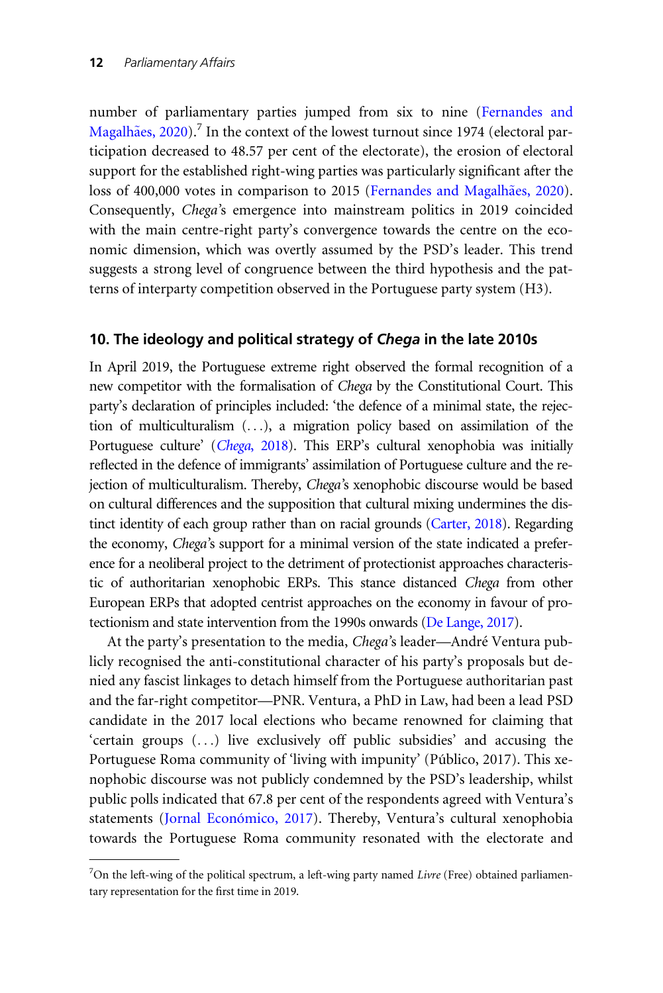number of parliamentary parties jumped from six to nine [\(Fernandes and](#page-18-0) [Magalh](#page-18-0)ã[es, 2020](#page-18-0)).<sup>7</sup> In the context of the lowest turnout since 1974 (electoral participation decreased to 48.57 per cent of the electorate), the erosion of electoral support for the established right-wing parties was particularly significant after the loss of 400,000 votes in comparison to 2015 [\(Fernandes and Magalh](#page-18-0)ães, 2020). Consequently, Chega's emergence into mainstream politics in 2019 coincided with the main centre-right party's convergence towards the centre on the economic dimension, which was overtly assumed by the PSD's leader. This trend suggests a strong level of congruence between the third hypothesis and the patterns of interparty competition observed in the Portuguese party system (H3).

## 10. The ideology and political strategy of Chega in the late 2010s

In April 2019, the Portuguese extreme right observed the formal recognition of a new competitor with the formalisation of Chega by the Constitutional Court. This party's declaration of principles included: 'the defence of a minimal state, the rejection of multiculturalism (...), a migration policy based on assimilation of the Portuguese culture' (Chega[, 2018](#page-17-0)). This ERP's cultural xenophobia was initially reflected in the defence of immigrants' assimilation of Portuguese culture and the rejection of multiculturalism. Thereby, Chega's xenophobic discourse would be based on cultural differences and the supposition that cultural mixing undermines the distinct identity of each group rather than on racial grounds ([Carter, 2018\)](#page-17-0). Regarding the economy, Chega's support for a minimal version of the state indicated a preference for a neoliberal project to the detriment of protectionist approaches characteristic of authoritarian xenophobic ERPs. This stance distanced Chega from other European ERPs that adopted centrist approaches on the economy in favour of protectionism and state intervention from the 1990s onwards ([De Lange, 2017](#page-18-0)).

At the party's presentation to the media, Chega's leader-André Ventura publicly recognised the anti-constitutional character of his party's proposals but denied any fascist linkages to detach himself from the Portuguese authoritarian past and the far-right competitor—PNR. Ventura, a PhD in Law, had been a lead PSD candidate in the 2017 local elections who became renowned for claiming that 'certain groups (...) live exclusively off public subsidies' and accusing the Portuguese Roma community of 'living with impunity' (Público, 2017). This xenophobic discourse was not publicly condemned by the PSD's leadership, whilst public polls indicated that 67.8 per cent of the respondents agreed with Ventura's statements (Jornal Económico, 2017). Thereby, Ventura's cultural xenophobia towards the Portuguese Roma community resonated with the electorate and

<sup>&</sup>lt;sup>7</sup>On the left-wing of the political spectrum, a left-wing party named Livre (Free) obtained parliamentary representation for the first time in 2019.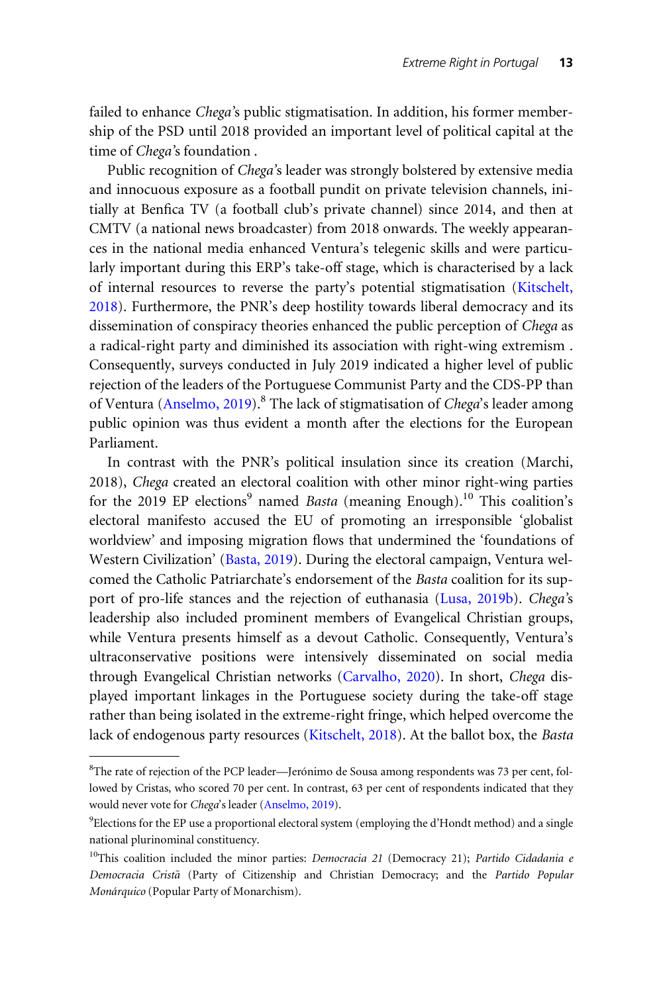failed to enhance Chega's public stigmatisation. In addition, his former membership of the PSD until 2018 provided an important level of political capital at the time of Chega's foundation .

Public recognition of Chega's leader was strongly bolstered by extensive media and innocuous exposure as a football pundit on private television channels, initially at Benfica TV (a football club's private channel) since 2014, and then at CMTV (a national news broadcaster) from 2018 onwards. The weekly appearances in the national media enhanced Ventura's telegenic skills and were particularly important during this ERP's take-off stage, which is characterised by a lack of internal resources to reverse the party's potential stigmatisation [\(Kitschelt,](#page-19-0) [2018\)](#page-19-0). Furthermore, the PNR's deep hostility towards liberal democracy and its dissemination of conspiracy theories enhanced the public perception of Chega as a radical-right party and diminished its association with right-wing extremism . Consequently, surveys conducted in July 2019 indicated a higher level of public rejection of the leaders of the Portuguese Communist Party and the CDS-PP than of Ventura ([Anselmo, 2019\)](#page-17-0).<sup>8</sup> The lack of stigmatisation of *Chega's* leader among public opinion was thus evident a month after the elections for the European Parliament.

In contrast with the PNR's political insulation since its creation (Marchi, 2018), Chega created an electoral coalition with other minor right-wing parties for the 2019 EP elections<sup>9</sup> named *Basta* (meaning Enough).<sup>10</sup> This coalition's electoral manifesto accused the EU of promoting an irresponsible 'globalist worldview' and imposing migration flows that undermined the 'foundations of Western Civilization' [\(Basta, 2019](#page-17-0)). During the electoral campaign, Ventura welcomed the Catholic Patriarchate's endorsement of the Basta coalition for its support of pro-life stances and the rejection of euthanasia ([Lusa, 2019b\)](#page-19-0). Chega's leadership also included prominent members of Evangelical Christian groups, while Ventura presents himself as a devout Catholic. Consequently, Ventura's ultraconservative positions were intensively disseminated on social media through Evangelical Christian networks ([Carvalho, 2020](#page-17-0)). In short, Chega displayed important linkages in the Portuguese society during the take-off stage rather than being isolated in the extreme-right fringe, which helped overcome the lack of endogenous party resources [\(Kitschelt, 2018\)](#page-19-0). At the ballot box, the Basta

<sup>&</sup>lt;sup>8</sup>The rate of rejection of the PCP leader—Jerónimo de Sousa among respondents was 73 per cent, followed by Cristas, who scored 70 per cent. In contrast, 63 per cent of respondents indicated that they would never vote for Chega's leader [\(Anselmo, 2019](#page-17-0)).

<sup>&</sup>lt;sup>9</sup>Elections for the EP use a proportional electoral system (employing the d'Hondt method) and a single national plurinominal constituency.

<sup>&</sup>lt;sup>10</sup>This coalition included the minor parties: *Democracia 21* (Democracy 21); Partido Cidadania e Democracia Cristã (Party of Citizenship and Christian Democracy; and the Partido Popular Monárquico (Popular Party of Monarchism).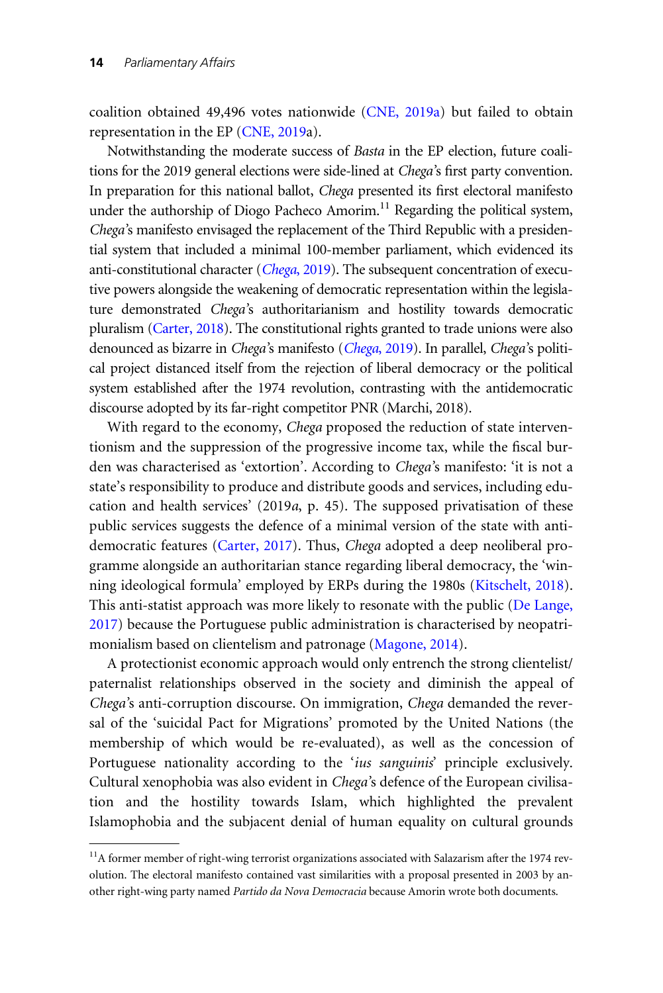coalition obtained 49,496 votes nationwide ([CNE, 2019a\)](#page-18-0) but failed to obtain representation in the EP [\(CNE, 2019](#page-18-0)a).

Notwithstanding the moderate success of Basta in the EP election, future coalitions for the 2019 general elections were side-lined at Chega's first party convention. In preparation for this national ballot, Chega presented its first electoral manifesto under the authorship of Diogo Pacheco Amorim.<sup>11</sup> Regarding the political system, Chega's manifesto envisaged the replacement of the Third Republic with a presidential system that included a minimal 100-member parliament, which evidenced its anti-constitutional character (Chega[, 2019\)](#page-17-0). The subsequent concentration of executive powers alongside the weakening of democratic representation within the legislature demonstrated Chega's authoritarianism and hostility towards democratic pluralism [\(Carter, 2018](#page-17-0)). The constitutional rights granted to trade unions were also denounced as bizarre in [Chega](#page-17-0)'s manifesto (Chega, 2019). In parallel, Chega's political project distanced itself from the rejection of liberal democracy or the political system established after the 1974 revolution, contrasting with the antidemocratic discourse adopted by its far-right competitor PNR (Marchi, 2018).

With regard to the economy, Chega proposed the reduction of state interventionism and the suppression of the progressive income tax, while the fiscal burden was characterised as 'extortion'. According to Chega's manifesto: 'it is not a state's responsibility to produce and distribute goods and services, including education and health services' (2019a, p. 45). The supposed privatisation of these public services suggests the defence of a minimal version of the state with antidemocratic features [\(Carter, 2017](#page-17-0)). Thus, Chega adopted a deep neoliberal programme alongside an authoritarian stance regarding liberal democracy, the 'winning ideological formula' employed by ERPs during the 1980s [\(Kitschelt, 2018](#page-19-0)). This anti-statist approach was more likely to resonate with the public ([De Lange,](#page-18-0) [2017\)](#page-18-0) because the Portuguese public administration is characterised by neopatrimonialism based on clientelism and patronage ([Magone, 2014\)](#page-19-0).

A protectionist economic approach would only entrench the strong clientelist/ paternalist relationships observed in the society and diminish the appeal of Chega's anti-corruption discourse. On immigration, Chega demanded the reversal of the 'suicidal Pact for Migrations' promoted by the United Nations (the membership of which would be re-evaluated), as well as the concession of Portuguese nationality according to the 'ius sanguinis' principle exclusively. Cultural xenophobia was also evident in Chega's defence of the European civilisation and the hostility towards Islam, which highlighted the prevalent Islamophobia and the subjacent denial of human equality on cultural grounds

 $11A$  former member of right-wing terrorist organizations associated with Salazarism after the 1974 revolution. The electoral manifesto contained vast similarities with a proposal presented in 2003 by another right-wing party named Partido da Nova Democracia because Amorin wrote both documents.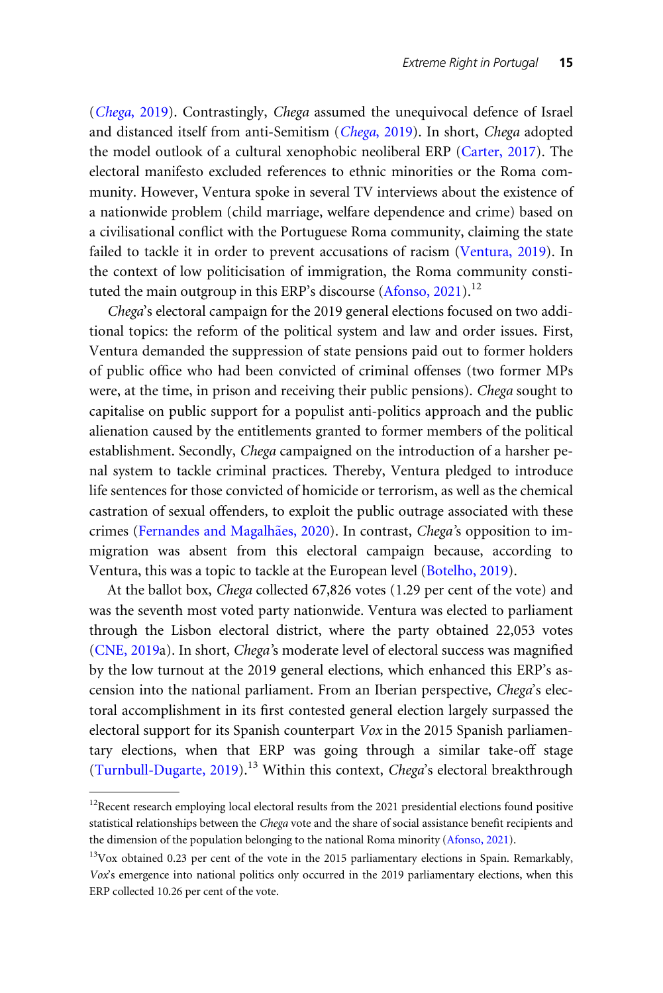(Chega[, 2019](#page-17-0)). Contrastingly, Chega assumed the unequivocal defence of Israel and distanced itself from anti-Semitism (Chega[, 2019](#page-17-0)). In short, Chega adopted the model outlook of a cultural xenophobic neoliberal ERP [\(Carter, 2017\)](#page-17-0). The electoral manifesto excluded references to ethnic minorities or the Roma community. However, Ventura spoke in several TV interviews about the existence of a nationwide problem (child marriage, welfare dependence and crime) based on a civilisational conflict with the Portuguese Roma community, claiming the state failed to tackle it in order to prevent accusations of racism [\(Ventura, 2019](#page-20-0)). In the context of low politicisation of immigration, the Roma community consti-tuted the main outgroup in this ERP's discourse [\(Afonso, 2021](#page-16-0)).<sup>12</sup>

Chega's electoral campaign for the 2019 general elections focused on two additional topics: the reform of the political system and law and order issues. First, Ventura demanded the suppression of state pensions paid out to former holders of public office who had been convicted of criminal offenses (two former MPs were, at the time, in prison and receiving their public pensions). Chega sought to capitalise on public support for a populist anti-politics approach and the public alienation caused by the entitlements granted to former members of the political establishment. Secondly, Chega campaigned on the introduction of a harsher penal system to tackle criminal practices. Thereby, Ventura pledged to introduce life sentences for those convicted of homicide or terrorism, as well as the chemical castration of sexual offenders, to exploit the public outrage associated with these crimes [\(Fernandes and Magalh](#page-18-0)ães, 2020). In contrast, Chega's opposition to immigration was absent from this electoral campaign because, according to Ventura, this was a topic to tackle at the European level ([Botelho, 2019](#page-17-0)).

At the ballot box, Chega collected 67,826 votes (1.29 per cent of the vote) and was the seventh most voted party nationwide. Ventura was elected to parliament through the Lisbon electoral district, where the party obtained 22,053 votes [\(CNE, 2019](#page-18-0)a). In short, Chega's moderate level of electoral success was magnified by the low turnout at the 2019 general elections, which enhanced this ERP's ascension into the national parliament. From an Iberian perspective, Chega's electoral accomplishment in its first contested general election largely surpassed the electoral support for its Spanish counterpart Vox in the 2015 Spanish parliamentary elections, when that ERP was going through a similar take-off stage [\(Turnbull-Dugarte, 2019](#page-20-0)).<sup>13</sup> Within this context, *Chega's* electoral breakthrough

 $12$ Recent research employing local electoral results from the 2021 presidential elections found positive statistical relationships between the Chega vote and the share of social assistance benefit recipients and the dimension of the population belonging to the national Roma minority [\(Afonso, 2021\)](#page-16-0).

 $13V$ Ox obtained 0.23 per cent of the vote in the 2015 parliamentary elections in Spain. Remarkably, Vox's emergence into national politics only occurred in the 2019 parliamentary elections, when this ERP collected 10.26 per cent of the vote.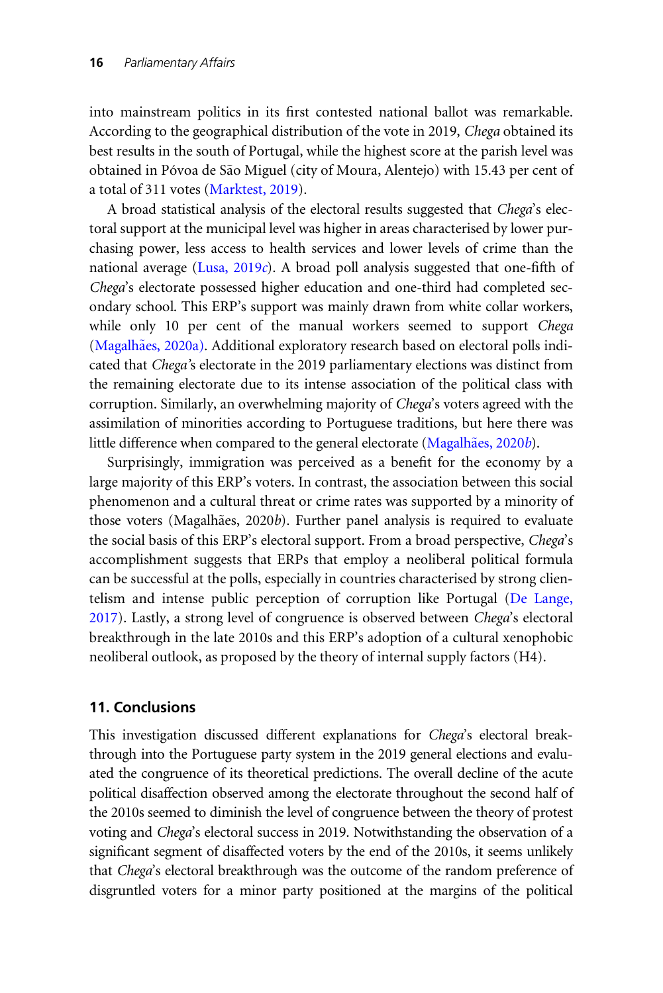into mainstream politics in its first contested national ballot was remarkable. According to the geographical distribution of the vote in 2019, Chega obtained its best results in the south of Portugal, while the highest score at the parish level was obtained in Póvoa de São Miguel (city of Moura, Alentejo) with 15.43 per cent of a total of 311 votes ([Marktest, 2019\)](#page-19-0).

A broad statistical analysis of the electoral results suggested that Chega's electoral support at the municipal level was higher in areas characterised by lower purchasing power, less access to health services and lower levels of crime than the national average ([Lusa, 2019](#page-19-0)c). A broad poll analysis suggested that one-fifth of Chega's electorate possessed higher education and one-third had completed secondary school. This ERP's support was mainly drawn from white collar workers, while only 10 per cent of the manual workers seemed to support *Chega* [\(Magalh](#page-19-0)ães, 2020a). Additional exploratory research based on electoral polls indicated that Chega's electorate in the 2019 parliamentary elections was distinct from the remaining electorate due to its intense association of the political class with corruption. Similarly, an overwhelming majority of Chega's voters agreed with the assimilation of minorities according to Portuguese traditions, but here there was little difference when compared to the general electorate [\(Magalh](#page-19-0)ã[es, 2020](#page-19-0)b).

Surprisingly, immigration was perceived as a benefit for the economy by a large majority of this ERP's voters. In contrast, the association between this social phenomenon and a cultural threat or crime rates was supported by a minority of those voters (Magalhães, 2020b). Further panel analysis is required to evaluate the social basis of this ERP's electoral support. From a broad perspective, Chega's accomplishment suggests that ERPs that employ a neoliberal political formula can be successful at the polls, especially in countries characterised by strong clientelism and intense public perception of corruption like Portugal [\(De Lange,](#page-18-0) [2017\)](#page-18-0). Lastly, a strong level of congruence is observed between Chega's electoral breakthrough in the late 2010s and this ERP's adoption of a cultural xenophobic neoliberal outlook, as proposed by the theory of internal supply factors (H4).

# 11. Conclusions

This investigation discussed different explanations for Chega's electoral breakthrough into the Portuguese party system in the 2019 general elections and evaluated the congruence of its theoretical predictions. The overall decline of the acute political disaffection observed among the electorate throughout the second half of the 2010s seemed to diminish the level of congruence between the theory of protest voting and Chega's electoral success in 2019. Notwithstanding the observation of a significant segment of disaffected voters by the end of the 2010s, it seems unlikely that Chega's electoral breakthrough was the outcome of the random preference of disgruntled voters for a minor party positioned at the margins of the political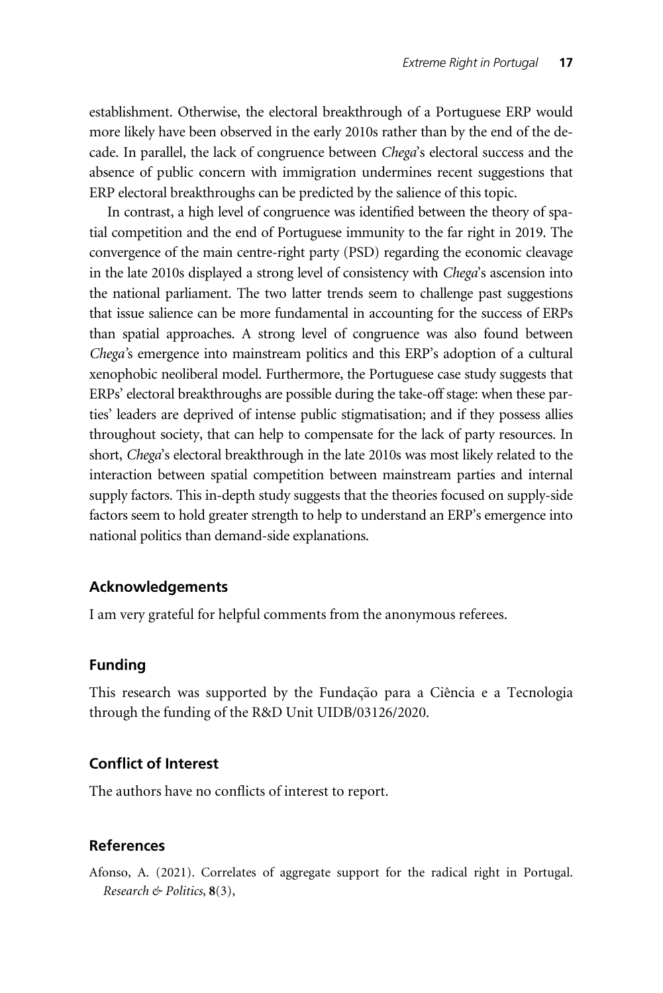<span id="page-16-0"></span>establishment. Otherwise, the electoral breakthrough of a Portuguese ERP would more likely have been observed in the early 2010s rather than by the end of the decade. In parallel, the lack of congruence between Chega's electoral success and the absence of public concern with immigration undermines recent suggestions that ERP electoral breakthroughs can be predicted by the salience of this topic.

In contrast, a high level of congruence was identified between the theory of spatial competition and the end of Portuguese immunity to the far right in 2019. The convergence of the main centre-right party (PSD) regarding the economic cleavage in the late 2010s displayed a strong level of consistency with Chega's ascension into the national parliament. The two latter trends seem to challenge past suggestions that issue salience can be more fundamental in accounting for the success of ERPs than spatial approaches. A strong level of congruence was also found between Chega's emergence into mainstream politics and this ERP's adoption of a cultural xenophobic neoliberal model. Furthermore, the Portuguese case study suggests that ERPs' electoral breakthroughs are possible during the take-off stage: when these parties' leaders are deprived of intense public stigmatisation; and if they possess allies throughout society, that can help to compensate for the lack of party resources. In short, Chega's electoral breakthrough in the late 2010s was most likely related to the interaction between spatial competition between mainstream parties and internal supply factors. This in-depth study suggests that the theories focused on supply-side factors seem to hold greater strength to help to understand an ERP's emergence into national politics than demand-side explanations.

#### Acknowledgements

I am very grateful for helpful comments from the anonymous referees.

#### Funding

This research was supported by the Fundação para a Ciência e a Tecnologia through the funding of the R&D Unit UIDB/03126/2020.

# Conflict of Interest

The authors have no conflicts of interest to report.

#### References

Afonso, A. (2021). Correlates of aggregate support for the radical right in Portugal. Research & Politics,  $8(3)$ ,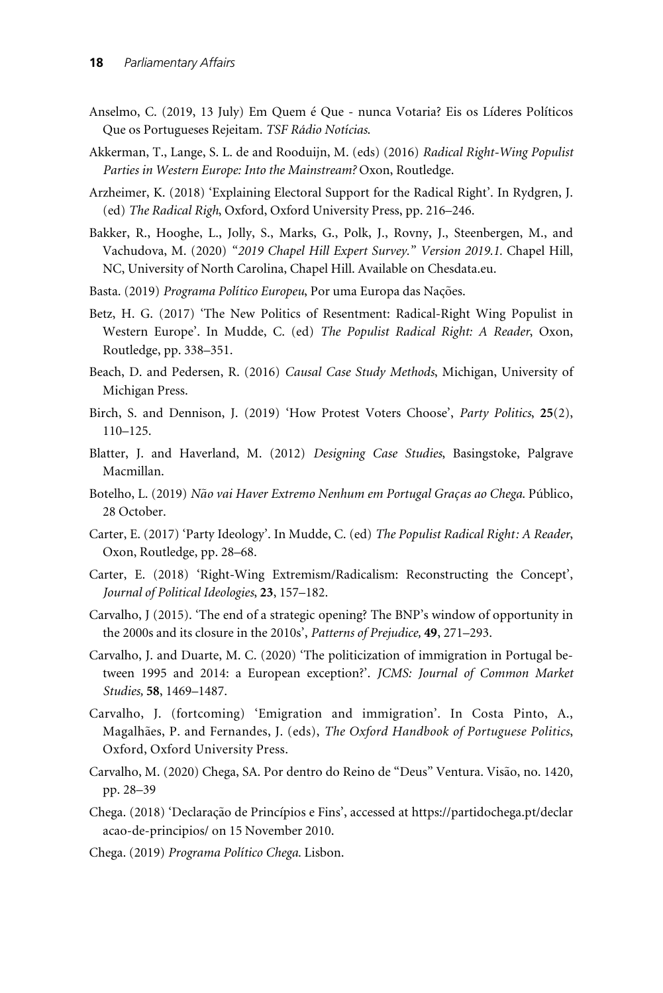- <span id="page-17-0"></span>Anselmo, C. (2019, 13 July) Em Quem é Que - nunca Votaria? Eis os Líderes Políticos Que os Portugueses Rejeitam. TSF Rádio Notícias.
- Akkerman, T., Lange, S. L. de and Rooduijn, M. (eds) (2016) Radical Right-Wing Populist Parties in Western Europe: Into the Mainstream? Oxon, Routledge.
- Arzheimer, K. (2018) 'Explaining Electoral Support for the Radical Right'. In Rydgren, J. (ed) The Radical Righ, Oxford, Oxford University Press, pp. 216–246.
- Bakker, R., Hooghe, L., Jolly, S., Marks, G., Polk, J., Rovny, J., Steenbergen, M., and Vachudova, M. (2020) "2019 Chapel Hill Expert Survey." Version 2019.1. Chapel Hill, NC, University of North Carolina, Chapel Hill. Available on Chesdata.eu.
- Basta. (2019) Programa Político Europeu, Por uma Europa das Nações.
- Betz, H. G. (2017) 'The New Politics of Resentment: Radical-Right Wing Populist in Western Europe'. In Mudde, C. (ed) The Populist Radical Right: A Reader, Oxon, Routledge, pp. 338–351.
- Beach, D. and Pedersen, R. (2016) Causal Case Study Methods, Michigan, University of Michigan Press.
- Birch, S. and Dennison, J. (2019) 'How Protest Voters Choose', Party Politics, 25(2), 110–125.
- Blatter, J. and Haverland, M. (2012) Designing Case Studies, Basingstoke, Palgrave Macmillan.
- Botelho, L. (2019) Não vai Haver Extremo Nenhum em Portugal Graças ao Chega. Público, 28 October.
- Carter, E. (2017) 'Party Ideology'. In Mudde, C. (ed) The Populist Radical Right: A Reader, Oxon, Routledge, pp. 28–68.
- Carter, E. (2018) 'Right-Wing Extremism/Radicalism: Reconstructing the Concept', Journal of Political Ideologies, 23, 157–182.
- Carvalho, J (2015). 'The end of a strategic opening? The BNP's window of opportunity in the 2000s and its closure in the 2010s', Patterns of Prejudice, 49, 271–293.
- Carvalho, J. and Duarte, M. C. (2020) 'The politicization of immigration in Portugal between 1995 and 2014: a European exception?'. JCMS: Journal of Common Market Studies, 58, 1469–1487.
- Carvalho, J. (fortcoming) 'Emigration and immigration'. In Costa Pinto, A., Magalhães, P. and Fernandes, J. (eds), The Oxford Handbook of Portuguese Politics, Oxford, Oxford University Press.
- Carvalho, M. (2020) Chega, SA. Por dentro do Reino de "Deus" Ventura. Visão, no. 1420, pp. 28–39
- Chega. (2018) 'Declaração de Princípios e Fins', accessed at [https://partidochega.pt/declar](https://partidochega.pt/declaracao-de-principios/) [acao-de-principios/ on 15 November 2010.](https://partidochega.pt/declaracao-de-principios/)
- Chega. (2019) Programa Político Chega. Lisbon.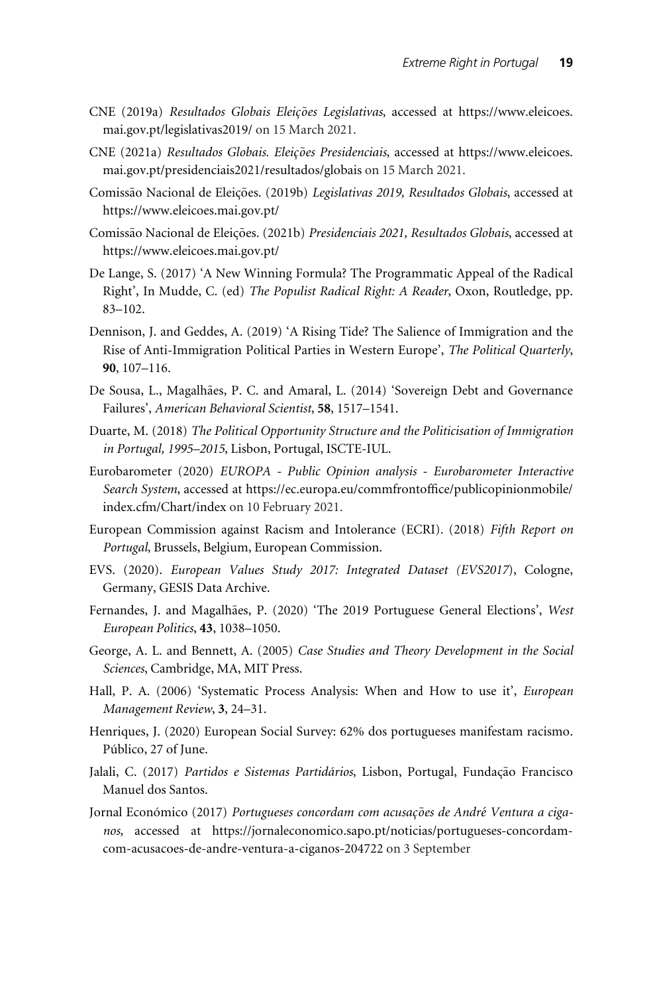- <span id="page-18-0"></span>CNE (2019a) Resultados Globais Eleições Legislativas, accessed at [https://www.eleicoes.](https://www.eleicoes.mai.gov.pt/legislativas2019/) [mai.gov.pt/legislativas2019/](https://www.eleicoes.mai.gov.pt/legislativas2019/) on 15 March 2021.
- CNE (2021a) Resultados Globais. Eleições Presidenciais, accessed at [https://www.eleicoes.](https://www.eleicoes.mai.gov.pt/presidenciais2021/resultados/globais) [mai.gov.pt/presidenciais2021/resultados/globais](https://www.eleicoes.mai.gov.pt/presidenciais2021/resultados/globais) on 15 March 2021.
- Comissão Nacional de Eleições. (2019b) Legislativas 2019, Resultados Globais, accessed at <https://www.eleicoes.mai.gov.pt/>
- Comissão Nacional de Eleições. (2021b) Presidenciais 2021, Resultados Globais, accessed at <https://www.eleicoes.mai.gov.pt/>
- De Lange, S. (2017) 'A New Winning Formula? The Programmatic Appeal of the Radical Right', In Mudde, C. (ed) The Populist Radical Right: A Reader, Oxon, Routledge, pp. 83–102.
- Dennison, J. and Geddes, A. (2019) 'A Rising Tide? The Salience of Immigration and the Rise of Anti-Immigration Political Parties in Western Europe', The Political Quarterly, 90, 107–116.
- De Sousa, L., Magalhães, P. C. and Amaral, L. (2014) 'Sovereign Debt and Governance Failures', American Behavioral Scientist, 58, 1517–1541.
- Duarte, M. (2018) The Political Opportunity Structure and the Politicisation of Immigration in Portugal, 1995–2015, Lisbon, Portugal, ISCTE-IUL.
- Eurobarometer (2020) EUROPA Public Opinion analysis Eurobarometer Interactive Search System, accessed at [https://ec.europa.eu/commfrontoffice/publicopinionmobile/](https://ec.europa.eu/commfrontoffice/publicopinionmobile/index.cfm/Chart/index) [index.cfm/Chart/index](https://ec.europa.eu/commfrontoffice/publicopinionmobile/index.cfm/Chart/index) on 10 February 2021.
- European Commission against Racism and Intolerance (ECRI). (2018) Fifth Report on Portugal, Brussels, Belgium, European Commission.
- EVS. (2020). European Values Study 2017: Integrated Dataset (EVS2017), Cologne, Germany, GESIS Data Archive.
- Fernandes, J. and Magalhães, P. (2020) 'The 2019 Portuguese General Elections', West European Politics, 43, 1038–1050.
- George, A. L. and Bennett, A. (2005) Case Studies and Theory Development in the Social Sciences, Cambridge, MA, MIT Press.
- Hall, P. A. (2006) 'Systematic Process Analysis: When and How to use it', European Management Review, 3, 24–31.
- Henriques, J. (2020) European Social Survey: 62% dos portugueses manifestam racismo. Público, 27 of June.
- Jalali, C. (2017) Partidos e Sistemas Partidários, Lisbon, Portugal, Fundação Francisco Manuel dos Santos.
- Jornal Económico (2017) Portugueses concordam com acusações de André Ventura a ciganos, accessed at [https://jornaleconomico.sapo.pt/noticias/portugueses-concordam](https://jornaleconomico.sapo.pt/noticias/portugueses-concordam-com-acusacoes-de-andre-ventura-a-ciganos-204722 )[com-acusacoes-de-andre-ventura-a-ciganos-204722](https://jornaleconomico.sapo.pt/noticias/portugueses-concordam-com-acusacoes-de-andre-ventura-a-ciganos-204722 ) on 3 September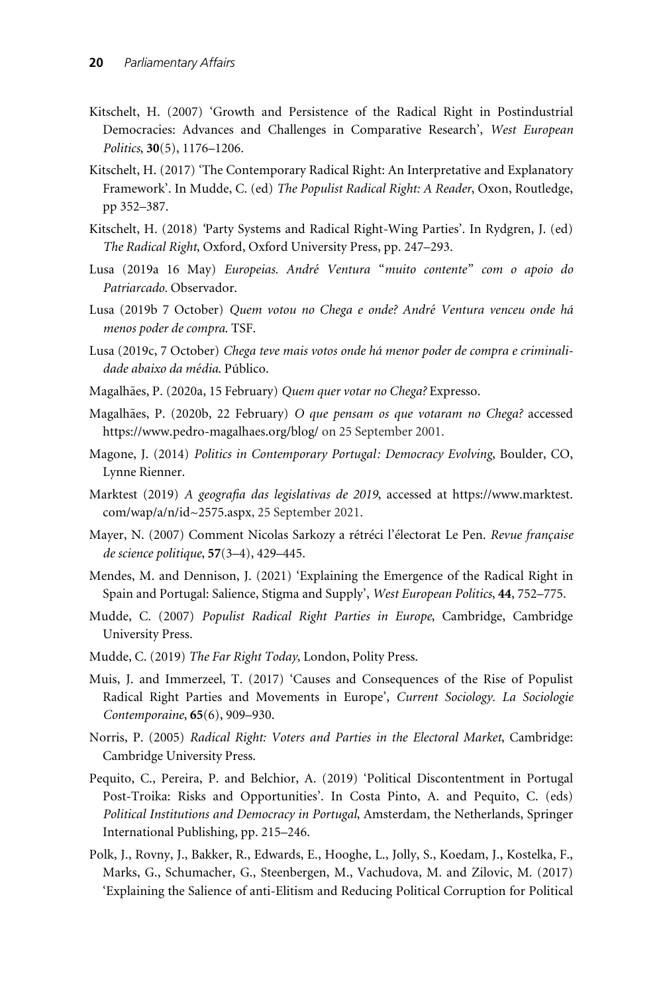- <span id="page-19-0"></span>Kitschelt, H. (2007) 'Growth and Persistence of the Radical Right in Postindustrial Democracies: Advances and Challenges in Comparative Research', West European Politics, 30(5), 1176–1206.
- Kitschelt, H. (2017) 'The Contemporary Radical Right: An Interpretative and Explanatory Framework'. In Mudde, C. (ed) The Populist Radical Right: A Reader, Oxon, Routledge, pp 352–387.
- Kitschelt, H. (2018) 'Party Systems and Radical Right-Wing Parties'. In Rydgren, J. (ed) The Radical Right, Oxford, Oxford University Press, pp. 247–293.
- Lusa (2019a 16 May) *Europeias. André Ventura "muito contente" com o apoio do* Patriarcado. Observador.
- Lusa (2019b 7 October) *Quem votou no Chega e onde? André Ventura venceu onde há* menos poder de compra. TSF.
- Lusa (2019c, 7 October) Chega teve mais votos onde há menor poder de compra e criminali*dade abaixo da média*. Público.
- Magalhães, P. (2020a, 15 February) Quem quer votar no Chega? Expresso.
- Magalhães, P. (2020b, 22 February) O que pensam os que votaram no Chega? accessed <https://www.pedro-magalhaes.org/blog/> on 25 September 2001.
- Magone, J. (2014) Politics in Contemporary Portugal: Democracy Evolving, Boulder, CO, Lynne Rienner.
- Marktest (2019) A geografia das legislativas de 2019, accessed at [https://www.marktest.](https://www.marktest.com/wap/a/n/id~2575.aspx) [com/wap/a/n/id~2575.aspx,](https://www.marktest.com/wap/a/n/id~2575.aspx) 25 September 2021.
- Mayer, N. (2007) Comment Nicolas Sarkozy a rétréci l'électorat Le Pen. *Revue française* de science politique, 57(3–4), 429–445.
- Mendes, M. and Dennison, J. (2021) 'Explaining the Emergence of the Radical Right in Spain and Portugal: Salience, Stigma and Supply', West European Politics, 44, 752–775.
- Mudde, C. (2007) Populist Radical Right Parties in Europe, Cambridge, Cambridge University Press.
- Mudde, C. (2019) The Far Right Today, London, Polity Press.
- Muis, J. and Immerzeel, T. (2017) 'Causes and Consequences of the Rise of Populist Radical Right Parties and Movements in Europe', Current Sociology. La Sociologie Contemporaine, 65(6), 909–930.
- Norris, P. (2005) Radical Right: Voters and Parties in the Electoral Market, Cambridge: Cambridge University Press.
- Pequito, C., Pereira, P. and Belchior, A. (2019) 'Political Discontentment in Portugal Post-Troika: Risks and Opportunities'. In Costa Pinto, A. and Pequito, C. (eds) Political Institutions and Democracy in Portugal, Amsterdam, the Netherlands, Springer International Publishing, pp. 215–246.
- Polk, J., Rovny, J., Bakker, R., Edwards, E., Hooghe, L., Jolly, S., Koedam, J., Kostelka, F., Marks, G., Schumacher, G., Steenbergen, M., Vachudova, M. and Zilovic, M. (2017) 'Explaining the Salience of anti-Elitism and Reducing Political Corruption for Political